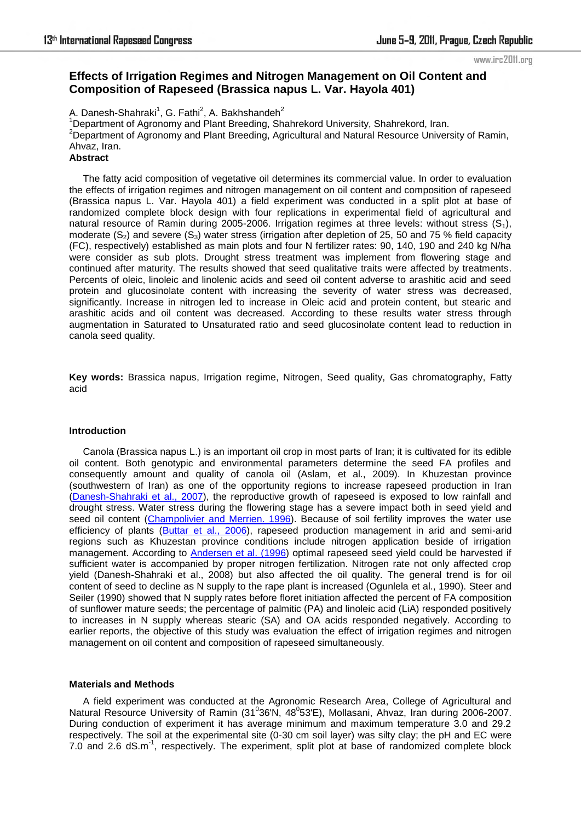# **Effects of Irrigation Regimes and Nitrogen Management on Oil Content and Composition of Rapeseed (Brassica napus L. Var. Hayola 401)**

A. Danesh-Shahraki<sup>1</sup>, G. Fathi<sup>2</sup>, A. Bakhshandeh<sup>2</sup>

<sup>1</sup>Department of Agronomy and Plant Breeding, Shahrekord University, Shahrekord, Iran. <sup>2</sup>Department of Agronomy and Plant Breeding, Agricultural and Natural Resource University of Ramin, Ahvaz, Iran.

**Abstract**

The fatty acid composition of vegetative oil determines its commercial value. In order to evaluation the effects of irrigation regimes and nitrogen management on oil content and composition of rapeseed (Brassica napus L. Var. Hayola 401) a field experiment was conducted in a split plot at base of randomized complete block design with four replications in experimental field of agricultural and natural resource of Ramin during 2005-2006. Irrigation regimes at three levels: without stress  $(S_1)$ , moderate  $(S_2)$  and severe  $(S_3)$  water stress (irrigation after depletion of 25, 50 and 75 % field capacity (FC), respectively) established as main plots and four N fertilizer rates: 90, 140, 190 and 240 kg N/ha were consider as sub plots. Drought stress treatment was implement from flowering stage and continued after maturity. The results showed that seed qualitative traits were affected by treatments. Percents of oleic, linoleic and linolenic acids and seed oil content adverse to arashitic acid and seed protein and glucosinolate content with increasing the severity of water stress was decreased, significantly. Increase in nitrogen led to increase in Oleic acid and protein content, but stearic and arashitic acids and oil content was decreased. According to these results water stress through augmentation in Saturated to Unsaturated ratio and seed glucosinolate content lead to reduction in canola seed quality.

**Key words:** Brassica napus, Irrigation regime, Nitrogen, Seed quality, Gas chromatography, Fatty acid

## **Introduction**

Canola (Brassica napus L.) is an important oil crop in most parts of Iran; it is cultivated for its edible oil content. Both genotypic and environmental parameters determine the seed FA profiles and consequently amount and quality of canola oil (Aslam, et al., 2009). In Khuzestan province (southwestern of Iran) as one of the opportunity regions to increase rapeseed production in Iran (Danesh-Shahraki et al., 2007), the reproductive growth of rapeseed is exposed to low rainfall and drought stress. Water stress during the flowering stage has a severe impact both in seed yield and seed oil content (Champolivier and Merrien. 1996). Because of soil fertility improves the water use efficiency of plants (Buttar et al., 2006), rapeseed production management in arid and semi-arid regions such as Khuzestan province conditions include nitrogen application beside of irrigation management. According to Andersen et al. (1996) optimal rapeseed seed yield could be harvested if sufficient water is accompanied by proper nitrogen fertilization. Nitrogen rate not only affected crop yield (Danesh-Shahraki et al., 2008) but also affected the oil quality. The general trend is for oil content of seed to decline as N supply to the rape plant is increased (Ogunlela et al., 1990). Steer and Seiler (1990) showed that N supply rates before floret initiation affected the percent of FA composition of sunflower mature seeds; the percentage of palmitic (PA) and linoleic acid (LiA) responded positively to increases in N supply whereas stearic (SA) and OA acids responded negatively. According to earlier reports, the objective of this study was evaluation the effect of irrigation regimes and nitrogen management on oil content and composition of rapeseed simultaneously.

## **Materials and Methods**

A field experiment was conducted at the Agronomic Research Area, College of Agricultural and Natural Resource University of Ramin (31<sup>0</sup>36'N, 48<sup>0</sup>53'E), Mollasani, Ahvaz, Iran during 2006-2007. During conduction of experiment it has average minimum and maximum temperature 3.0 and 29.2 respectively. The soil at the experimental site (0-30 cm soil layer) was silty clay; the pH and EC were 7.0 and 2.6 dS.m<sup>-1</sup>, respectively. The experiment, split plot at base of randomized complete block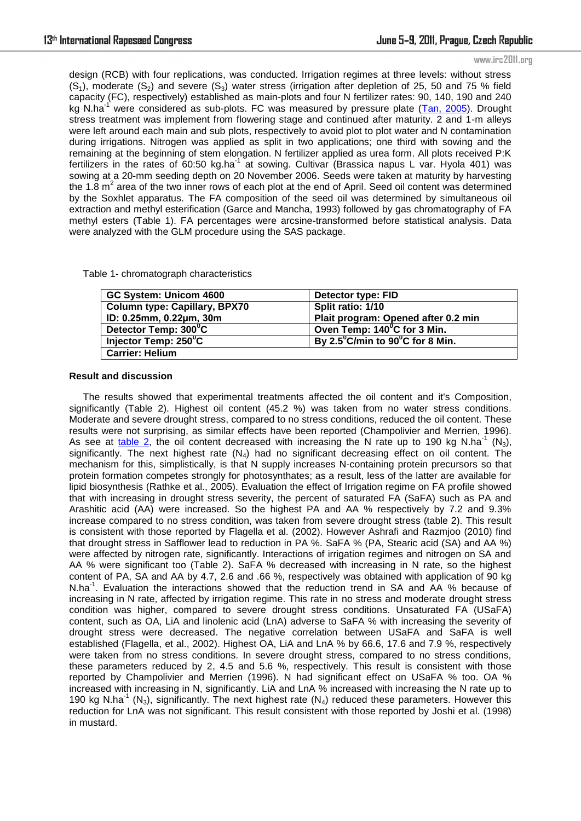design (RCB) with four replications, was conducted. Irrigation regimes at three levels: without stress  $(S_1)$ , moderate  $(S_2)$  and severe  $(S_3)$  water stress (irrigation after depletion of 25, 50 and 75 % field capacity (FC), respectively) established as main-plots and four N fertilizer rates: 90, 140, 190 and 240 kg N.ha<sup>-1</sup> were considered as sub-plots. FC was measured by pressure plate (Tan, 2005). Drought stress treatment was implement from flowering stage and continued after maturity. 2 and 1-m alleys were left around each main and sub plots, respectively to avoid plot to plot water and N contamination during irrigations. Nitrogen was applied as split in two applications; one third with sowing and the remaining at the beginning of stem elongation. N fertilizer applied as urea form. All plots received P:K fertilizers in the rates of 60:50 kg.ha<sup>-1</sup> at sowing. Cultivar (Brassica napus L var. Hyola 401) was sowing at a 20-mm seeding depth on 20 November 2006. Seeds were taken at maturity by harvesting the 1.8  $m^2$  area of the two inner rows of each plot at the end of April. Seed oil content was determined by the Soxhlet apparatus. The FA composition of the seed oil was determined by simultaneous oil extraction and methyl esterification (Garce and Mancha, 1993) followed by gas chromatography of FA methyl esters (Table 1). FA percentages were arcsine-transformed before statistical analysis. Data were analyzed with the GLM procedure using the SAS package.

Table 1- chromatograph characteristics

| GC System: Unicom 4600               | Detector type: FID                                  |
|--------------------------------------|-----------------------------------------------------|
| <b>Column type: Capillary, BPX70</b> | Split ratio: 1/10                                   |
| ID: 0.25mm, 0.22µm, 30m              | Plait program: Opened after 0.2 min                 |
| Detector Temp: 300°C                 | Oven Temp: 140°C for 3 Min.                         |
| Injector Temp: 250°C                 | By $2.5^{\circ}$ C/min to $90^{\circ}$ C for 8 Min. |
| <b>Carrier: Helium</b>               |                                                     |

### **Result and discussion**

The results showed that experimental treatments affected the oil content and it's Composition, significantly (Table 2). Highest oil content (45.2 %) was taken from no water stress conditions. Moderate and severe drought stress, compared to no stress conditions, reduced the oil content. These results were not surprising, as similar effects have been reported (Champolivier and Merrien, 1996). As see at table 2, the oil content decreased with increasing the N rate up to 190 kg N ha<sup>-1</sup> (N<sub>3</sub>), significantly. The next highest rate  $(N_4)$  had no significant decreasing effect on oil content. The mechanism for this, simplistically, is that N supply increases N-containing protein precursors so that protein formation competes strongly for photosynthates; as a result, less of the latter are available for lipid biosynthesis (Rathke et al., 2005). Evaluation the effect of Irrigation regime on FA profile showed that with increasing in drought stress severity, the percent of saturated FA (SaFA) such as PA and Arashitic acid (AA) were increased. So the highest PA and AA % respectively by 7.2 and 9.3% increase compared to no stress condition, was taken from severe drought stress (table 2). This result is consistent with those reported by Flagella et al. (2002). However Ashrafi and Razmjoo (2010) find that drought stress in Safflower lead to reduction in PA %. SaFA % (PA, Stearic acid (SA) and AA %) were affected by nitrogen rate, significantly. Interactions of irrigation regimes and nitrogen on SA and AA % were significant too (Table 2). SaFA % decreased with increasing in N rate, so the highest content of PA, SA and AA by 4.7, 2.6 and .66 %, respectively was obtained with application of 90 kg N.ha<sup>-1</sup>. Evaluation the interactions showed that the reduction trend in SA and AA % because of increasing in N rate, affected by irrigation regime. This rate in no stress and moderate drought stress condition was higher, compared to severe drought stress conditions. Unsaturated FA (USaFA) content, such as OA, LiA and linolenic acid (LnA) adverse to SaFA % with increasing the severity of drought stress were decreased. The negative correlation between USaFA and SaFA is well established (Flagella, et al., 2002). Highest OA, LiA and LnA % by 66.6, 17.6 and 7.9 %, respectively were taken from no stress conditions. In severe drought stress, compared to no stress conditions, these parameters reduced by 2, 4.5 and 5.6 %, respectively. This result is consistent with those reported by Champolivier and Merrien (1996). N had significant effect on USaFA % too. OA % increased with increasing in N, significantly. LiA and LnA % increased with increasing the N rate up to 190 kg N.ha<sup>-1</sup> (N<sub>3</sub>), significantly. The next highest rate (N<sub>4</sub>) reduced these parameters. However this reduction for LnA was not significant. This result consistent with those reported by Joshi et al. (1998) in mustard.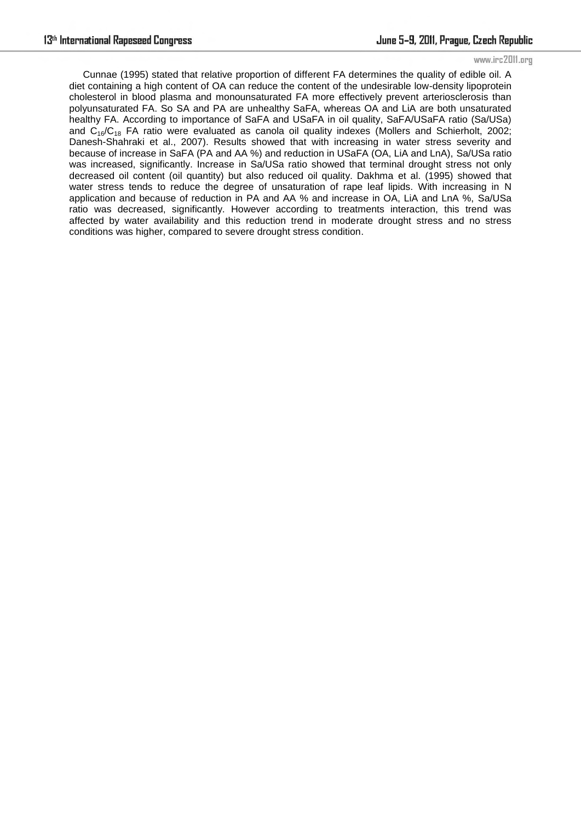Cunnae (1995) stated that relative proportion of different FA determines the quality of edible oil. A diet containing a high content of OA can reduce the content of the undesirable low-density lipoprotein cholesterol in blood plasma and monounsaturated FA more effectively prevent arteriosclerosis than polyunsaturated FA. So SA and PA are unhealthy SaFA, whereas OA and LiA are both unsaturated healthy FA. According to importance of SaFA and USaFA in oil quality, SaFA/USaFA ratio (Sa/USa) and  $C_{16}/C_{18}$  FA ratio were evaluated as canola oil quality indexes (Mollers and Schierholt, 2002; Danesh-Shahraki et al., 2007). Results showed that with increasing in water stress severity and because of increase in SaFA (PA and AA %) and reduction in USaFA (OA, LiA and LnA), Sa/USa ratio was increased, significantly. Increase in Sa/USa ratio showed that terminal drought stress not only decreased oil content (oil quantity) but also reduced oil quality. Dakhma et al. (1995) showed that water stress tends to reduce the degree of unsaturation of rape leaf lipids. With increasing in N application and because of reduction in PA and AA % and increase in OA, LiA and LnA %, Sa/USa ratio was decreased, significantly. However according to treatments interaction, this trend was affected by water availability and this reduction trend in moderate drought stress and no stress conditions was higher, compared to severe drought stress condition.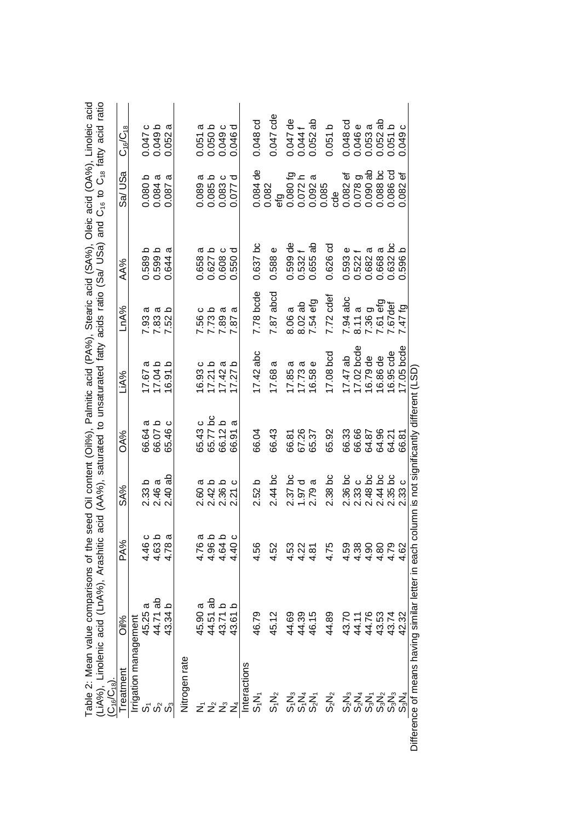| <b>Treatment</b>       | Oil%             | PA%            | SA%                  | OA%                 | LiA%                        | LnA%                | <b>AA%</b>                  | Sa/USa                           | $C_{16}/C_{18}$ |
|------------------------|------------------|----------------|----------------------|---------------------|-----------------------------|---------------------|-----------------------------|----------------------------------|-----------------|
| Irrigation management  |                  |                |                      |                     |                             |                     |                             |                                  |                 |
| ဟ်                     | ᡕᡦ<br>45.25      | 4.46 c         | 2.33 <sub>b</sub>    | ω<br>66.64          |                             | σ<br>7.93           | 0.589b                      | 0.080 b                          | 0.047 c         |
|                        | 44.71 ab         | 4.63 b         | 2.46a                | 66.07b              | 17.67 a<br>17.04 b          | σ<br>7.83<br>7.52   | 0.599b                      | 0.084a                           | 0.049b          |
|                        | 43.34 b          | 4.78 a         | $2.40$ ab            | ပ<br>65.46          | $\Omega$<br>16.91           | $\Omega$<br>52      | ᡕᡦ<br>0.644                 | a<br>0.087                       | 0.052a          |
| Nitrogen rate          |                  |                |                      |                     |                             |                     |                             |                                  |                 |
|                        | 45.90 a          | 4.76 a         | σ<br>2.60            | 65.43 c             |                             |                     | σ<br>0.658                  | σ<br>0.089                       | ω<br>0.051      |
|                        | ಹೆ<br>44.51      | 4.96 b         | 2.42 b<br>2.36 b     | 65.77 bc<br>66.12 b | 16.93 c<br>17.21 b          | 7.56 c<br>7.73 b    | 0.627 b                     | 0.085 b<br>0.083 c               | 0.050 b         |
|                        | 43.71 b          | 4.64 b         |                      |                     | ā<br>17.42                  | ದ<br>7.89           | ပ<br>0.608                  |                                  | 0.049 c         |
|                        | $\circ$<br>43.61 | $-40c$<br>4    | ပ<br>$\overline{21}$ | a<br>66.91          | م<br>27<br>$\overline{7}$   | a<br>$\overline{8}$ | ರ<br>.550<br>Ö              | $\overline{\mathrm{o}}$<br>0.077 | ರ<br>0.046      |
| nteractions            |                  |                |                      |                     |                             |                     |                             |                                  |                 |
| s,N,                   | 46.79            | 4.56           | 2.52 b               | 66.04               | $17.42$ abc                 | 7.78 bcde           | $0.637$ bc                  | $0.084$ de                       | 0.048 cd        |
| $S_1N_2$               | 45.12            | 4.52           | $2.44$ bc            | 66.43               | ω<br>17.68                  | $7.87$ abcd         | 0.588 e                     | 0.082                            | $0.047$ cde     |
|                        | 44.69            | 4.53           |                      | 66.81               | σ<br>17.85                  | ω<br>8.06           | $0.599$ de                  | efg<br>0.080 fg<br>0.072 h       | $0.047$ de      |
|                        | 44.39            | 4.22           | 2.37 bc<br>1.97 d    | 67.26               | 17.73a                      | $8.02$ ab           | 0.532                       |                                  | 0.0441          |
| ភ្នំ 2 5<br>ភូមិ 5     | 46.15            | 4.81           | ത<br>2.79            | 65.37               | $\pmb{\mathsf{v}}$<br>16.58 | 7.54 efg            | ಹೆ<br>0.655                 | ದ<br>0.092                       | $0.052$ ab      |
| $S_2N_2$               | 44.89            | 4.75           | 2.38 <sub>bc</sub>   | 65.92               | 17.08 bcd                   | 7.72 cdef           | $0.626$ cd                  | 0.085<br>cde                     | 0.051 b         |
| $S_2N_3$               | 43.70            | 4.59           | $2.36$ bc            | 66.33               | $17.47$ ab                  | $7.94$ abc          | Ф<br>0.593                  | ট<br>0.082                       | 0.048 cd        |
| $S_2N_4$               | 44.11            | 4.38           |                      | 66.66               | $17.02$ bcde                | 8.11a               | 0.522                       | 0.078                            | 0.046e          |
| $S_3N_1$               | 44.76            | $\frac{30}{4}$ | 2.33 c<br>2.48 bc    | 64.87               | 16.79 de                    | 7.36 g              | σ<br>0.682                  | ය ස<br>0.090i                    | ω<br>0.053 i    |
|                        | 43.53            | 4.80           | 2.44 bc<br>2.35 bc   | 64.96               | 16.86 de<br>16.95 cde       | 7.61 efg<br>7.67def | σ<br>0.668                  | 0.088 bc                         | $0.052$ ab      |
| တို့ တို့<br>တို့ တို့ | 43.74            | 4.79           |                      | 64.21               |                             |                     | 0.632 bc                    | 0.086 cd                         | 0.051 b         |
| $S_3N_4$               | 42.32            | 4.62           | 2.33c                | 66.81               | $17.05$ bcde                | 61/17               | $\Omega$<br>596.<br>$\circ$ | ٔه<br>0.082                      | ం<br>0.049      |